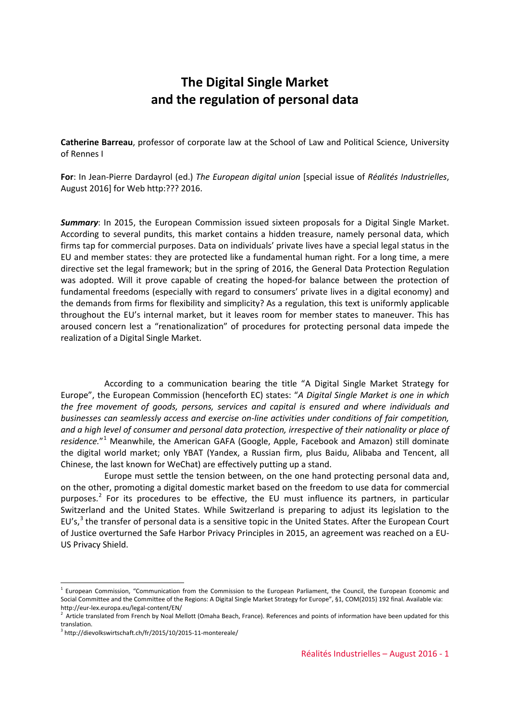# **The Digital Single Market and the regulation of personal data**

**Catherine Barreau**, professor of corporate law at the School of Law and Political Science, University of Rennes I

**For**: In Jean-Pierre Dardayrol (ed.) *The European digital union* [special issue of *Réalités Industrielles*, August 2016] for Web http:??? 2016.

*Summary*: In 2015, the European Commission issued sixteen proposals for a Digital Single Market. According to several pundits, this market contains a hidden treasure, namely personal data, which firms tap for commercial purposes. Data on individuals' private lives have a special legal status in the EU and member states: they are protected like a fundamental human right. For a long time, a mere directive set the legal framework; but in the spring of 2016, the General Data Protection Regulation was adopted. Will it prove capable of creating the hoped-for balance between the protection of fundamental freedoms (especially with regard to consumers' private lives in a digital economy) and the demands from firms for flexibility and simplicity? As a regulation, this text is uniformly applicable throughout the EU's internal market, but it leaves room for member states to maneuver. This has aroused concern lest a "renationalization" of procedures for protecting personal data impede the realization of a Digital Single Market.

According to a communication bearing the title "A Digital Single Market Strategy for Europe", the European Commission (henceforth EC) states: "*A Digital Single Market is one in which the free movement of goods, persons, services and capital is ensured and where individuals and businesses can seamlessly access and exercise on-line activities under conditions of fair competition, and a high level of consumer and personal data protection, irrespective of their nationality or place of residence.*"[1](#page-0-0) Meanwhile, the American GAFA (Google, Apple, Facebook and Amazon) still dominate the digital world market; only YBAT (Yandex, a Russian firm, plus Baidu, Alibaba and Tencent, all Chinese, the last known for WeChat) are effectively putting up a stand.

Europe must settle the tension between, on the one hand protecting personal data and, on the other, promoting a digital domestic market based on the freedom to use data for commercial purposes.<sup>[2](#page-0-1)</sup> For its procedures to be effective, the EU must influence its partners, in particular Switzerland and the United States. While Switzerland is preparing to adjust its legislation to the EU's,<sup>[3](#page-0-2)</sup> the transfer of personal data is a sensitive topic in the United States. After the European Court of Justice overturned the Safe Harbor Privacy Principles in 2015, an agreement was reached on a EU-US Privacy Shield.

<span id="page-0-0"></span><sup>&</sup>lt;sup>1</sup> European Commission, "Communication from the Commission to the European Parliament, the Council, the European Economic and Social Committee and the Committee of the Regions: A Digital Single Market Strategy for Europe", §1, COM(2015) 192 final. Available via: http://eur-lex.europa.eu/legal-content/EN/

<span id="page-0-1"></span> $<sup>2</sup>$  Article translated from French by Noal Mellott (Omaha Beach, France). References and points of information have been updated for this</sup> translation.

<span id="page-0-2"></span><sup>3</sup> http://dievolkswirtschaft.ch/fr/2015/10/2015-11-montereale/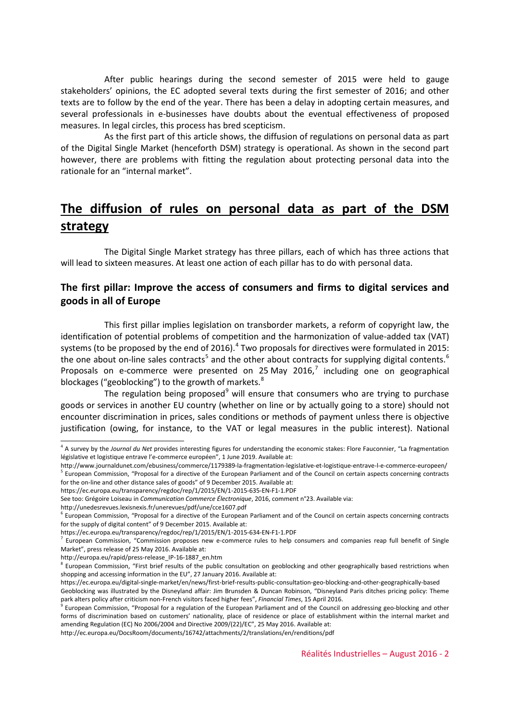After public hearings during the second semester of 2015 were held to gauge stakeholders' opinions, the EC adopted several texts during the first semester of 2016; and other texts are to follow by the end of the year. There has been a delay in adopting certain measures, and several professionals in e-businesses have doubts about the eventual effectiveness of proposed measures. In legal circles, this process has bred scepticism.

As the first part of this article shows, the diffusion of regulations on personal data as part of the Digital Single Market (henceforth DSM) strategy is operational. As shown in the second part however, there are problems with fitting the regulation about protecting personal data into the rationale for an "internal market".

# **The diffusion of rules on personal data as part of the DSM strategy**

The Digital Single Market strategy has three pillars, each of which has three actions that will lead to sixteen measures. At least one action of each pillar has to do with personal data.

#### **The first pillar: Improve the access of consumers and firms to digital services and goods in all of Europe**

This first pillar implies legislation on transborder markets, a reform of copyright law, the identification of potential problems of competition and the harmonization of value-added tax (VAT) systems (to be proposed by the end of 2016).<sup>[4](#page-1-0)</sup> Two proposals for directives were formulated in 2015: the one about on-line sales contracts<sup>[5](#page-1-1)</sup> and the other about contracts for supplying digital contents.<sup>[6](#page-1-2)</sup> Proposals on e-commerce were presented on 25 May 2016, $^7$  $^7$  including one on geographical blockages ("geoblocking") to the growth of markets. $8$ 

The regulation being proposed<sup>[9](#page-1-5)</sup> will ensure that consumers who are trying to purchase goods or services in another EU country (whether on line or by actually going to a store) should not encounter discrimination in prices, sales conditions or methods of payment unless there is objective justification (owing, for instance, to the VAT or legal measures in the public interest). National

http://unedesrevues.lexisnexis.fr/unerevues/pdf/une/cce1607.pdf

<span id="page-1-0"></span><sup>4</sup> A survey by the *Journal du Net* provides interesting figures for understanding the economic stakes: Flore Fauconnier, "La fragmentation législative et logistique entrave l'e-commerce européen", 1 June 2019. Available at:

<span id="page-1-1"></span>http://www.journaldunet.com/ebusiness/commerce/1179389-la-fragmentation-legislative-et-logistique-entrave-l-e-commerce-europeen/ <sup>5</sup> European Commission, "Proposal for a directive of the European Parliament and of the Council on certain aspects concerning contracts for the on-line and other distance sales of goods" of 9 December 2015. Available at:

https://ec.europa.eu/transparency/regdoc/rep/1/2015/EN/1-2015-635-EN-F1-1.PDF

See too: Grégoire Loiseau in *Communication Commerce Électronique*, 2016, comment n°23. Available via:

<span id="page-1-2"></span><sup>6</sup> European Commission, "Proposal for a directive of the European Parliament and of the Council on certain aspects concerning contracts for the supply of digital content" of 9 December 2015. Available at:

https://ec.europa.eu/transparency/regdoc/rep/1/2015/EN/1-2015-634-EN-F1-1.PDF

<span id="page-1-3"></span> $<sup>7</sup>$  European Commission, "Commission proposes new e-commerce rules to help consumers and companies reap full benefit of Single</sup> Market", press release of 25 May 2016. Available at:

<span id="page-1-4"></span>http://europa.eu/rapid/press-release\_IP-16-1887\_en.htm<br><sup>8</sup> European Commission, "First brief results of the public consultation on geoblocking and other geographically based restrictions when shopping and accessing information in the EU", 27 January 2016. Available at:

https://ec.europa.eu/digital-single-market/en/news/first-brief-results-public-consultation-geo-blocking-and-other-geographically-based Geoblocking was illustrated by the Disneyland affair: Jim Brunsden & Duncan Robinson, "Disneyland Paris ditches pricing policy: Theme

park alters policy after criticism non-French visitors faced higher fees", *Financial Times*, 15 April 2016.

<span id="page-1-5"></span> $9$  European Commission, "Proposal for a regulation of the European Parliament and of the Council on addressing geo-blocking and other forms of discrimination based on customers' nationality, place of residence or place of establishment within the internal market and amending Regulation (EC) No 2006/2004 and Directive 2009/(22)/EC", 25 May 2016. Available at:

http://ec.europa.eu/DocsRoom/documents/16742/attachments/2/translations/en/renditions/pdf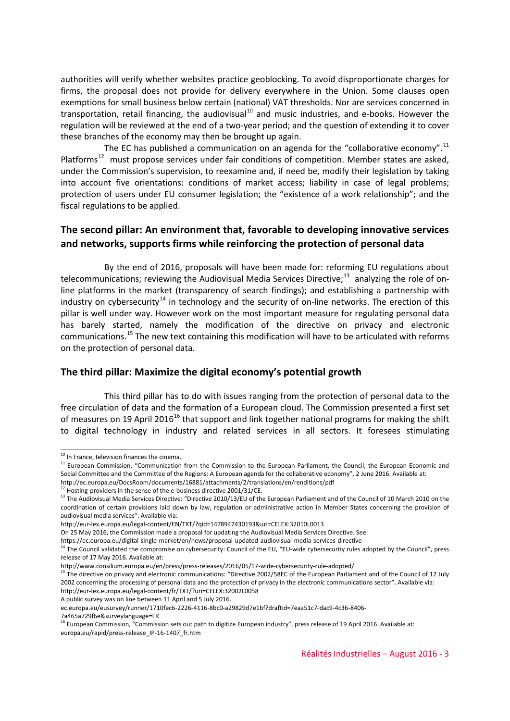authorities will verify whether websites practice geoblocking. To avoid disproportionate charges for firms, the proposal does not provide for delivery everywhere in the Union. Some clauses open exemptions for small business below certain (national) VAT thresholds. Nor are services concerned in transportation, retail financing, the audiovisual<sup>[10](#page-2-0)</sup> and music industries, and e-books. However the regulation will be reviewed at the end of a two-year period; and the question of extending it to cover these branches of the economy may then be brought up again.

The EC has published a communication on an agenda for the "collaborative economy".<sup>[11](#page-2-1)</sup> Platforms<sup>[12](#page-2-2)</sup> must propose services under fair conditions of competition. Member states are asked, under the Commission's supervision, to reexamine and, if need be, modify their legislation by taking into account five orientations: conditions of market access; liability in case of legal problems; protection of users under EU consumer legislation; the "existence of a work relationship"; and the fiscal regulations to be applied.

### **The second pillar: An environment that, favorable to developing innovative services and networks, supports firms while reinforcing the protection of personal data**

By the end of 2016, proposals will have been made for: reforming EU regulations about telecommunications; reviewing the Audiovisual Media Services Directive;<sup>[13](#page-2-3)</sup> analyzing the role of online platforms in the market (transparency of search findings); and establishing a partnership with industry on cybersecurity<sup>[14](#page-2-4)</sup> in technology and the security of on-line networks. The erection of this pillar is well under way. However work on the most important measure for regulating personal data has barely started, namely the modification of the directive on privacy and electronic communications.[15](#page-2-5) The new text containing this modification will have to be articulated with reforms on the protection of personal data.

#### **The third pillar: Maximize the digital economy's potential growth**

This third pillar has to do with issues ranging from the protection of personal data to the free circulation of data and the formation of a European cloud. The Commission presented a first set of measures on 19 April 20[16](#page-2-6)<sup>16</sup> that support and link together national programs for making the shift to digital technology in industry and related services in all sectors. It foresees stimulating

A public survey was on line between 11 April and 5 July 2016.

 $10$  In France, television finances the cinema.

<span id="page-2-1"></span><span id="page-2-0"></span><sup>&</sup>lt;sup>11</sup> European Commission, "Communication from the Commission to the European Parliament, the Council, the European Economic and Social Committee and the Committee of the Regions: A European agenda for the collaborative economy", 2 June 2016. Available at:

http://ec.europa.eu/DocsRoom/documents/16881/attachments/2/translations/en/renditions/pdf

 $12$  Hosting-providers in the sense of the e-business directive 2001/31/CE.

<span id="page-2-3"></span><span id="page-2-2"></span><sup>&</sup>lt;sup>13</sup> The Audiovisual Media Services Directive: "Directive 2010/13/EU of the European Parliament and of the Council of 10 March 2010 on the coordination of certain provisions laid down by law, regulation or administrative action in Member States concerning the provision of audiovisual media services". Available via:

http://eur-lex.europa.eu/legal-content/EN/TXT/?qid=1478947430193&uri=CELEX:32010L0013

On 25 May 2016, the Commission made a proposal for updating the Audiovisual Media Services Directive. See:

<span id="page-2-4"></span>https://ec.europa.eu/digital-single-market/en/news/proposal-updated-audiovisual-media-services-directive <sup>14</sup> The Council validated the compromise on cybersecurity: Council of the EU, "EU-wide cybersecurity rules adopted by the Council", press release of 17 May 2016. Available at:

<span id="page-2-5"></span>http://www.consilium.europa.eu/en/press/press-releases/2016/05/17-wide-cybersecurity-rule-adopted/ <sup>15</sup> The directive on privacy and electronic communications: "Directive 2002/58EC of the European Parliament and of the Council of 12 July 2002 concerning the processing of personal data and the protection of privacy in the electronic communications sector". Available via: http://eur-lex.europa.eu/legal-content/fr/TXT/?uri=CELEX:32002L0058

ec.europa.eu/eusurvey/runner/1710fec6-2226-4116-8bc0-a29829d7e1bf?draftid=7eaa51c7-dac9-4c36-8406-

<span id="page-2-6"></span><sup>7</sup>a465a729f6e&surveylanguage=FR<br><sup>16</sup> European Commission, "Commission sets out path to digitize European industry", press release of 19 April 2016. Available at: europa.eu/rapid/press-release\_IP-16-1407\_fr.htm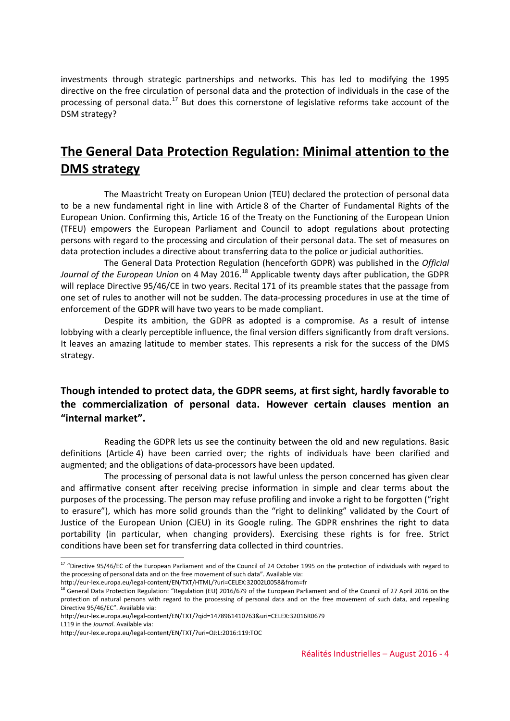investments through strategic partnerships and networks. This has led to modifying the 1995 directive on the free circulation of personal data and the protection of individuals in the case of the processing of personal data.<sup>[17](#page-3-0)</sup> But does this cornerstone of legislative reforms take account of the DSM strategy?

# **The General Data Protection Regulation: Minimal attention to the DMS strategy**

The Maastricht Treaty on European Union (TEU) declared the protection of personal data to be a new fundamental right in line with Article 8 of the Charter of Fundamental Rights of the European Union. Confirming this, Article 16 of the Treaty on the Functioning of the European Union (TFEU) empowers the European Parliament and Council to adopt regulations about protecting persons with regard to the processing and circulation of their personal data. The set of measures on data protection includes a directive about transferring data to the police or judicial authorities.

The General Data Protection Regulation (henceforth GDPR) was published in the *Official*  Journal of the European Union on 4 May 2016.<sup>[18](#page-3-1)</sup> Applicable twenty days after publication, the GDPR will replace Directive 95/46/CE in two years. Recital 171 of its preamble states that the passage from one set of rules to another will not be sudden. The data-processing procedures in use at the time of enforcement of the GDPR will have two years to be made compliant.

Despite its ambition, the GDPR as adopted is a compromise. As a result of intense lobbying with a clearly perceptible influence, the final version differs significantly from draft versions. It leaves an amazing latitude to member states. This represents a risk for the success of the DMS strategy.

## **Though intended to protect data, the GDPR seems, at first sight, hardly favorable to the commercialization of personal data. However certain clauses mention an "internal market".**

Reading the GDPR lets us see the continuity between the old and new regulations. Basic definitions (Article 4) have been carried over; the rights of individuals have been clarified and augmented; and the obligations of data-processors have been updated.

The processing of personal data is not lawful unless the person concerned has given clear and affirmative consent after receiving precise information in simple and clear terms about the purposes of the processing. The person may refuse profiling and invoke a right to be forgotten ("right to erasure"), which has more solid grounds than the "right to delinking" validated by the Court of Justice of the European Union (CJEU) in its Google ruling. The GDPR enshrines the right to data portability (in particular, when changing providers). Exercising these rights is for free. Strict conditions have been set for transferring data collected in third countries.

<span id="page-3-0"></span><sup>&</sup>lt;sup>17</sup> "Directive 95/46/EC of the European Parliament and of the Council of 24 October 1995 on the protection of individuals with regard to the processing of personal data and on the free movement of such data". Available via:

http://eur-lex.europa.eu/legal-content/EN/TXT/HTML/?uri=CELEX:32002L0058&from=fr

<span id="page-3-1"></span><sup>18</sup> General Data Protection Regulation: "Regulation (EU) 2016/679 of the European Parliament and of the Council of 27 April 2016 on the protection of natural persons with regard to the processing of personal data and on the free movement of such data, and repealing Directive 95/46/EC". Available via:

http://eur-lex.europa.eu/legal-content/EN/TXT/?qid=1478961410763&uri=CELEX:32016R0679

L119 in the *Journal*. Available via:

http://eur-lex.europa.eu/legal-content/EN/TXT/?uri=OJ:L:2016:119:TOC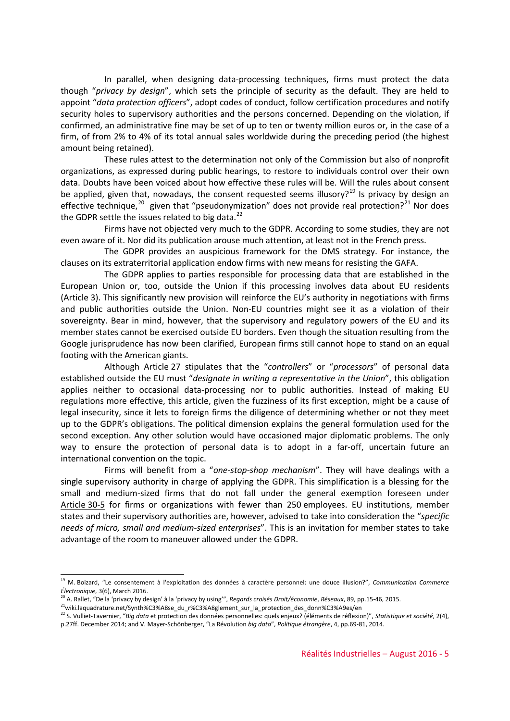In parallel, when designing data-processing techniques, firms must protect the data though "*privacy by design*", which sets the principle of security as the default. They are held to appoint "*data protection officers*", adopt codes of conduct, follow certification procedures and notify security holes to supervisory authorities and the persons concerned. Depending on the violation, if confirmed, an administrative fine may be set of up to ten or twenty million euros or, in the case of a firm, of from 2% to 4% of its total annual sales worldwide during the preceding period (the highest amount being retained).

These rules attest to the determination not only of the Commission but also of nonprofit organizations, as expressed during public hearings, to restore to individuals control over their own data. Doubts have been voiced about how effective these rules will be. Will the rules about consent be applied, given that, nowadays, the consent requested seems illusory?<sup>[19](#page-4-0)</sup> Is privacy by design an effective technique,<sup>[20](#page-4-1)</sup> given that "pseudonymization" does not provide real protection?<sup>[21](#page-4-2)</sup> Nor does the GDPR settle the issues related to big data.<sup>[22](#page-4-3)</sup>

Firms have not objected very much to the GDPR. According to some studies, they are not even aware of it. Nor did its publication arouse much attention, at least not in the French press.

The GDPR provides an auspicious framework for the DMS strategy. For instance, the clauses on its extraterritorial application endow firms with new means for resisting the GAFA.

The GDPR applies to parties responsible for processing data that are established in the European Union or, too, outside the Union if this processing involves data about EU residents (Article 3). This significantly new provision will reinforce the EU's authority in negotiations with firms and public authorities outside the Union. Non-EU countries might see it as a violation of their sovereignty. Bear in mind, however, that the supervisory and regulatory powers of the EU and its member states cannot be exercised outside EU borders. Even though the situation resulting from the Google jurisprudence has now been clarified, European firms still cannot hope to stand on an equal footing with the American giants.

Although Article 27 stipulates that the "*controllers*" or "*processors*" of personal data established outside the EU must "*designate in writing a representative in the Union*", this obligation applies neither to occasional data-processing nor to public authorities. Instead of making EU regulations more effective, this article, given the fuzziness of its first exception, might be a cause of legal insecurity, since it lets to foreign firms the diligence of determining whether or not they meet up to the GDPR's obligations. The political dimension explains the general formulation used for the second exception. Any other solution would have occasioned major diplomatic problems. The only way to ensure the protection of personal data is to adopt in a far-off, uncertain future an international convention on the topic.

Firms will benefit from a "*one-stop-shop mechanism*". They will have dealings with a single supervisory authority in charge of applying the GDPR. This simplification is a blessing for the small and medium-sized firms that do not fall under the general exemption foreseen under Article 30-5 for firms or organizations with fewer than 250 employees. EU institutions, member states and their supervisory authorities are, however, advised to take into consideration the "*specific needs of micro, small and medium-sized enterprises*". This is an invitation for member states to take advantage of the room to maneuver allowed under the GDPR.

<span id="page-4-0"></span><sup>19</sup> M. Boizard, "Le consentement à l'exploitation des données à caractère personnel: une douce illusion?", *Communication Commerce Électronique*, 3(6), March 2016.

<sup>20</sup> A. Rallet, "De la 'privacy by design' à la 'privacy by using'", *Regards croisés Droit/économie*, *Réseaux*, 89, pp.15-46, 2015.

<span id="page-4-2"></span><span id="page-4-1"></span><sup>21</sup>wiki.laquadrature.net/Synth%C3%A8se\_du\_r%C3%A8glement\_sur\_la\_protection\_des\_donn%C3%A9es/en

<span id="page-4-3"></span><sup>22</sup> S. Vulliet-Tavernier, "*Big data* et protection des données personnelles: quels enjeux? (éléments de réflexion)", *Statistique et société*, 2(4), p.27ff. December 2014; and V. Mayer-Schönberger, "La Révolution *big data*", *Politique étrangère*, 4, pp.69-81, 2014.